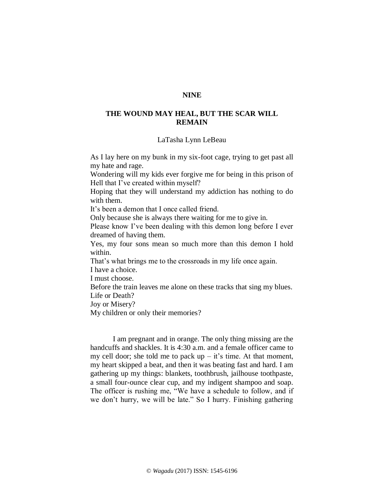## **NINE**

# **THE WOUND MAY HEAL, BUT THE SCAR WILL REMAIN**

#### LaTasha Lynn LeBeau

As I lay here on my bunk in my six-foot cage, trying to get past all my hate and rage.

Wondering will my kids ever forgive me for being in this prison of Hell that I've created within myself?

Hoping that they will understand my addiction has nothing to do with them.

It's been a demon that I once called friend.

Only because she is always there waiting for me to give in.

Please know I've been dealing with this demon long before I ever dreamed of having them.

Yes, my four sons mean so much more than this demon I hold within.

That's what brings me to the crossroads in my life once again.

I have a choice.

I must choose.

Before the train leaves me alone on these tracks that sing my blues.

Life or Death?

Joy or Misery?

My children or only their memories?

I am pregnant and in orange. The only thing missing are the handcuffs and shackles. It is 4:30 a.m. and a female officer came to my cell door; she told me to pack  $up - it's$  time. At that moment, my heart skipped a beat, and then it was beating fast and hard. I am gathering up my things: blankets, toothbrush, jailhouse toothpaste, a small four-ounce clear cup, and my indigent shampoo and soap. The officer is rushing me, "We have a schedule to follow, and if we don't hurry, we will be late." So I hurry. Finishing gathering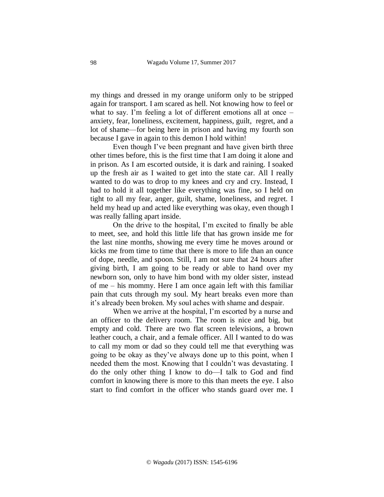my things and dressed in my orange uniform only to be stripped again for transport. I am scared as hell. Not knowing how to feel or what to say. I'm feeling a lot of different emotions all at once – anxiety, fear, loneliness, excitement, happiness, guilt, regret, and a lot of shame—for being here in prison and having my fourth son because I gave in again to this demon I hold within!

Even though I've been pregnant and have given birth three other times before, this is the first time that I am doing it alone and in prison. As I am escorted outside, it is dark and raining. I soaked up the fresh air as I waited to get into the state car. All I really wanted to do was to drop to my knees and cry and cry. Instead, I had to hold it all together like everything was fine, so I held on tight to all my fear, anger, guilt, shame, loneliness, and regret. I held my head up and acted like everything was okay, even though I was really falling apart inside.

On the drive to the hospital, I'm excited to finally be able to meet, see, and hold this little life that has grown inside me for the last nine months, showing me every time he moves around or kicks me from time to time that there is more to life than an ounce of dope, needle, and spoon. Still, I am not sure that 24 hours after giving birth, I am going to be ready or able to hand over my newborn son, only to have him bond with my older sister, instead of me – his mommy. Here I am once again left with this familiar pain that cuts through my soul. My heart breaks even more than it's already been broken. My soul aches with shame and despair.

When we arrive at the hospital, I'm escorted by a nurse and an officer to the delivery room. The room is nice and big, but empty and cold. There are two flat screen televisions, a brown leather couch, a chair, and a female officer. All I wanted to do was to call my mom or dad so they could tell me that everything was going to be okay as they've always done up to this point, when I needed them the most. Knowing that I couldn't was devastating. I do the only other thing I know to do—I talk to God and find comfort in knowing there is more to this than meets the eye. I also start to find comfort in the officer who stands guard over me. I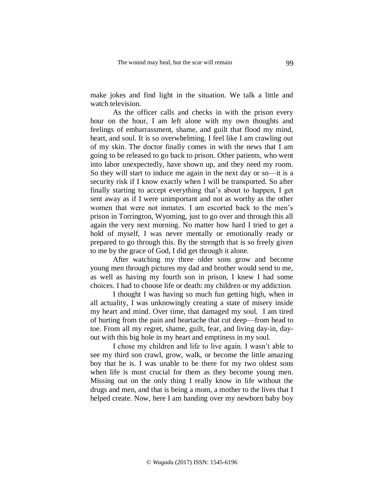make jokes and find light in the situation. We talk a little and watch television.

As the officer calls and checks in with the prison every hour on the hour, I am left alone with my own thoughts and feelings of embarrassment, shame, and guilt that flood my mind, heart, and soul. It is so overwhelming. I feel like I am crawling out of my skin. The doctor finally comes in with the news that I am going to be released to go back to prison. Other patients, who went into labor unexpectedly, have shown up, and they need my room. So they will start to induce me again in the next day or so—it is a security risk if I know exactly when I will be transported. So after finally starting to accept everything that's about to happen, I get sent away as if I were unimportant and not as worthy as the other women that were not inmates. I am escorted back to the men's prison in Torrington, Wyoming, just to go over and through this all again the very next morning. No matter how hard I tried to get a hold of myself, I was never mentally or emotionally ready or prepared to go through this. By the strength that is so freely given to me by the grace of God, I did get through it alone.

After watching my three older sons grow and become young men through pictures my dad and brother would send to me, as well as having my fourth son in prison, I knew I had some choices. I had to choose life or death: my children or my addiction.

I thought I was having so much fun getting high, when in all actuality, I was unknowingly creating a state of misery inside my heart and mind. Over time, that damaged my soul. I am tired of hurting from the pain and heartache that cut deep—from head to toe. From all my regret, shame, guilt, fear, and living day-in, dayout with this big hole in my heart and emptiness in my soul.

I chose my children and life to live again. I wasn't able to see my third son crawl, grow, walk, or become the little amazing boy that he is. I was unable to be there for my two oldest sons when life is most crucial for them as they become young men. Missing out on the only thing I really know in life without the drugs and men, and that is being a mom, a mother to the lives that I helped create. Now, here I am handing over my newborn baby boy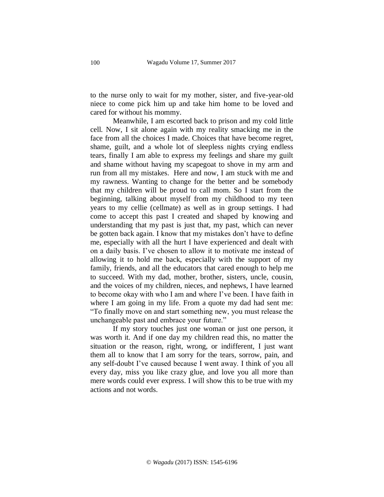to the nurse only to wait for my mother, sister, and five-year-old niece to come pick him up and take him home to be loved and cared for without his mommy.

Meanwhile, I am escorted back to prison and my cold little cell. Now, I sit alone again with my reality smacking me in the face from all the choices I made. Choices that have become regret, shame, guilt, and a whole lot of sleepless nights crying endless tears, finally I am able to express my feelings and share my guilt and shame without having my scapegoat to shove in my arm and run from all my mistakes. Here and now, I am stuck with me and my rawness. Wanting to change for the better and be somebody that my children will be proud to call mom. So I start from the beginning, talking about myself from my childhood to my teen years to my cellie (cellmate) as well as in group settings. I had come to accept this past I created and shaped by knowing and understanding that my past is just that, my past, which can never be gotten back again. I know that my mistakes don't have to define me, especially with all the hurt I have experienced and dealt with on a daily basis. I've chosen to allow it to motivate me instead of allowing it to hold me back, especially with the support of my family, friends, and all the educators that cared enough to help me to succeed. With my dad, mother, brother, sisters, uncle, cousin, and the voices of my children, nieces, and nephews, I have learned to become okay with who I am and where I've been. I have faith in where I am going in my life. From a quote my dad had sent me: "To finally move on and start something new, you must release the unchangeable past and embrace your future."

If my story touches just one woman or just one person, it was worth it. And if one day my children read this, no matter the situation or the reason, right, wrong, or indifferent, I just want them all to know that I am sorry for the tears, sorrow, pain, and any self-doubt I've caused because I went away. I think of you all every day, miss you like crazy glue, and love you all more than mere words could ever express. I will show this to be true with my actions and not words.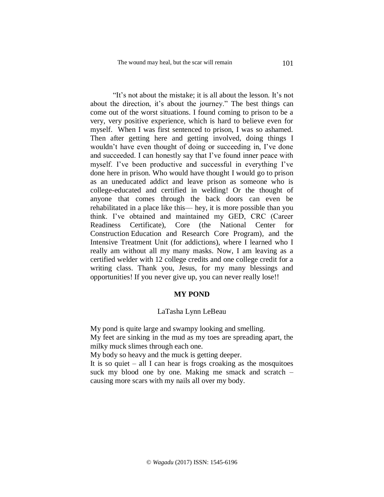"It's not about the mistake; it is all about the lesson. It's not about the direction, it's about the journey." The best things can come out of the worst situations. I found coming to prison to be a very, very positive experience, which is hard to believe even for myself. When I was first sentenced to prison, I was so ashamed. Then after getting here and getting involved, doing things I wouldn't have even thought of doing or succeeding in, I've done and succeeded. I can honestly say that I've found inner peace with myself. I've been productive and successful in everything I've done here in prison. Who would have thought I would go to prison as an uneducated addict and leave prison as someone who is college-educated and certified in welding! Or the thought of anyone that comes through the back doors can even be rehabilitated in a place like this— hey, it is more possible than you think. I've obtained and maintained my GED, CRC (Career Readiness Certificate), Core (the National Center for Construction Education and Research Core Program), and the Intensive Treatment Unit (for addictions), where I learned who I really am without all my many masks. Now, I am leaving as a certified welder with 12 college credits and one college credit for a writing class. Thank you, Jesus, for my many blessings and opportunities! If you never give up, you can never really lose!!

### **MY POND**

#### LaTasha Lynn LeBeau

My pond is quite large and swampy looking and smelling. My feet are sinking in the mud as my toes are spreading apart, the milky muck slimes through each one.

My body so heavy and the muck is getting deeper.

It is so quiet  $-$  all I can hear is frogs croaking as the mosquitoes suck my blood one by one. Making me smack and scratch – causing more scars with my nails all over my body.